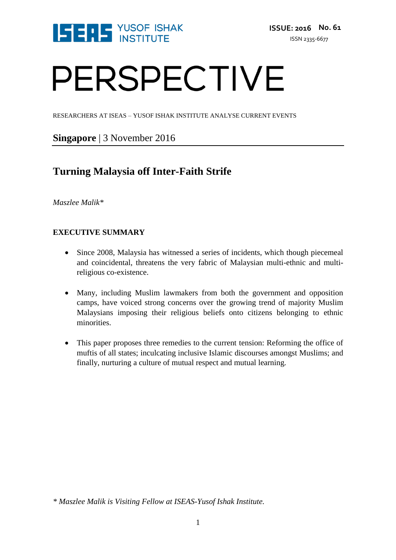

# PERSPECTIVE

RESEARCHERS AT ISEAS – YUSOF ISHAK INSTITUTE ANALYSE CURRENT EVENTS

### **Singapore** | 3 November 2016

## **Turning Malaysia off Inter-Faith Strife**

*Maszlee Malik\**

#### **EXECUTIVE SUMMARY**

- Since 2008, Malaysia has witnessed a series of incidents, which though piecemeal and coincidental, threatens the very fabric of Malaysian multi-ethnic and multireligious co-existence.
- Many, including Muslim lawmakers from both the government and opposition camps, have voiced strong concerns over the growing trend of majority Muslim Malaysians imposing their religious beliefs onto citizens belonging to ethnic minorities.
- This paper proposes three remedies to the current tension: Reforming the office of muftis of all states; inculcating inclusive Islamic discourses amongst Muslims; and finally, nurturing a culture of mutual respect and mutual learning.

*<sup>\*</sup> Maszlee Malik is Visiting Fellow at ISEAS-Yusof Ishak Institute.*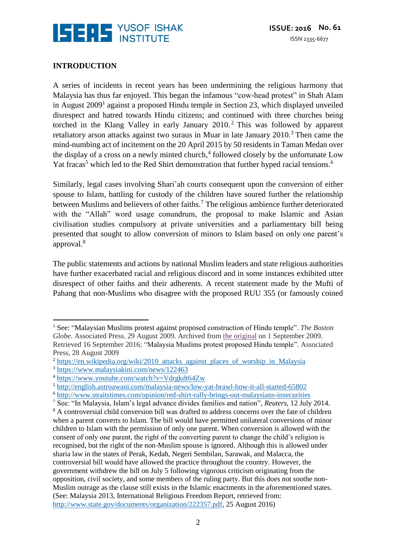

#### **INTRODUCTION**

A series of incidents in recent years has been undermining the religious harmony that Malaysia has thus far enjoyed. This began the infamous "cow-head protest" in Shah Alam in August 2009<sup>1</sup> against a proposed Hindu temple in Section 23, which displayed unveiled disrespect and hatred towards Hindu citizens; and continued with three churches being torched in the Klang Valley in early January  $2010<sup>2</sup>$  This was followed by apparent retaliatory arson attacks against two suraus in Muar in late January  $2010$ .<sup>3</sup> Then came the mind-numbing act of incitement on the 20 April 2015 by 50 residents in Taman Medan over the display of a cross on a newly minted church, 4 followed closely by the unfortunate Low Yat fracas<sup>5</sup> which led to the Red Shirt demonstration that further hyped racial tensions.<sup>6</sup>

Similarly, legal cases involving Shari'ah courts consequent upon the conversion of either spouse to Islam, battling for custody of the children have soured further the relationship between Muslims and believers of other faiths.<sup>7</sup> The religious ambience further deteriorated with the "Allah" word usage conundrum, the proposal to make Islamic and Asian civilisation studies compulsory at private universities and a parliamentary bill being presented that sought to allow conversion of minors to Islam based on only one parent's approval. 8

The public statements and actions by national Muslim leaders and state religious authorities have further exacerbated racial and religious discord and in some instances exhibited utter disrespect of other faiths and their adherents. A recent statement made by the Mufti of Pahang that non-Muslims who disagree with the proposed RUU 355 (or famously coined

 $\overline{a}$ <sup>1</sup> See: "Malaysian Muslims protest against proposed construction of Hindu temple". *The Boston Globe*. Associated Press. 29 August 2009. Archived from [the original](http://www.boston.com/news/world/asia/articles/2009/08/29/malaysian_muslims_protest_proposed_hindu_temple) on 1 September 2009. Retrieved 16 September 2016; "Malaysia Muslims protest proposed Hindu temple". Associated Press, 28 August 2009

<sup>&</sup>lt;sup>2</sup> [https://en.wikipedia.org/wiki/2010\\_attacks\\_against\\_places\\_of\\_worship\\_in\\_Malaysia](https://en.wikipedia.org/wiki/2010_attacks_against_places_of_worship_in_Malaysia)

<sup>3</sup> <https://www.malaysiakini.com/news/122463>

<sup>4</sup> <https://www.youtube.com/watch?v=Vdrgkdt64Zw>

<sup>5</sup> <http://english.astroawani.com/malaysia-news/low-yat-brawl-how-it-all-started-65802>

<sup>6</sup> <http://www.straitstimes.com/opinion/red-shirt-rally-brings-out-malaysians-insecurities>

<sup>7</sup> See: "In Malaysia, Islam's legal advance divides families and nation", *Reuters,* 12 July 2014.

<sup>&</sup>lt;sup>8</sup> A controversial child conversion bill was drafted to address concerns over the fate of children when a parent converts to Islam. The bill would have permitted unilateral conversions of minor children to Islam with the permission of only one parent. When conversion is allowed with the consent of only one parent, the right of the converting parent to change the child's religion is recognised, but the right of the non-Muslim spouse is ignored. Although this is allowed under sharia law in the states of Perak, Kedah, Negeri Sembilan, Sarawak, and Malacca, the controversial bill would have allowed the practice throughout the country. However, the government withdrew the bill on July 5 following vigorous criticism originating from the opposition, civil society, and some members of the ruling party. But this does not soothe non-Muslim outrage as the clause still exists in the Islamic enactments in the aforementioned states. (See: Malaysia 2013, International Religious Freedom Report, retrieved from: [http://www.state.gov/documents/organization/222357.pdf,](http://www.state.gov/documents/organization/222357.pdf) 25 August 2016)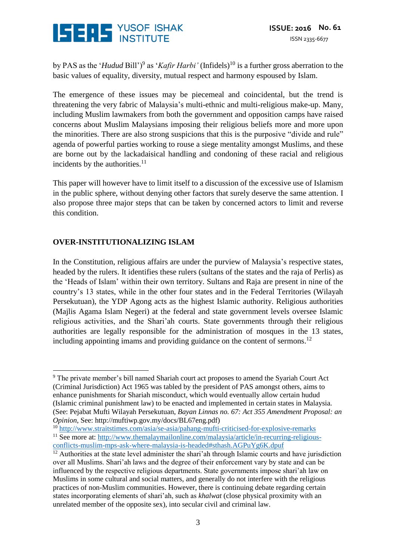

by PAS as the '*Hudud* Bill')<sup>9</sup> as '*Kafir Harbi'* (Infidels)<sup>10</sup> is a further gross aberration to the basic values of equality, diversity, mutual respect and harmony espoused by Islam.

The emergence of these issues may be piecemeal and coincidental, but the trend is threatening the very fabric of Malaysia's multi-ethnic and multi-religious make-up. Many, including Muslim lawmakers from both the government and opposition camps have raised concerns about Muslim Malaysians imposing their religious beliefs more and more upon the minorities. There are also strong suspicions that this is the purposive "divide and rule" agenda of powerful parties working to rouse a siege mentality amongst Muslims, and these are borne out by the lackadaisical handling and condoning of these racial and religious incidents by the authorities.<sup>11</sup>

This paper will however have to limit itself to a discussion of the excessive use of Islamism in the public sphere, without denying other factors that surely deserve the same attention. I also propose three major steps that can be taken by concerned actors to limit and reverse this condition.

#### **OVER-INSTITUTIONALIZING ISLAM**

In the Constitution, religious affairs are under the purview of Malaysia's respective states, headed by the rulers. It identifies these rulers (sultans of the states and the raja of Perlis) as the 'Heads of Islam' within their own territory. Sultans and Raja are present in nine of the country's 13 states, while in the other four states and in the Federal Territories (Wilayah Persekutuan), the YDP Agong acts as the highest Islamic authority. Religious authorities (Majlis Agama Islam Negeri) at the federal and state government levels oversee Islamic religious activities, and the Shari'ah courts. State governments through their religious authorities are legally responsible for the administration of mosques in the 13 states, including appointing imams and providing guidance on the content of sermons.<sup>12</sup>

<sup>10</sup> <http://www.straitstimes.com/asia/se-asia/pahang-mufti-criticised-for-explosive-remarks> <sup>11</sup> See more at: [http://www.themalaymailonline.com/malaysia/article/in-recurring-religious](http://www.themalaymailonline.com/malaysia/article/in-recurring-religious-conflicts-muslim-mps-ask-where-malaysia-is-headed#sthash.AGPuYg6K.dpuf)[conflicts-muslim-mps-ask-where-malaysia-is-headed#sthash.AGPuYg6K.dpuf](http://www.themalaymailonline.com/malaysia/article/in-recurring-religious-conflicts-muslim-mps-ask-where-malaysia-is-headed#sthash.AGPuYg6K.dpuf)

<sup>&</sup>lt;u>.</u> <sup>9</sup> The private member's bill named Shariah court act proposes to amend the Syariah Court Act (Criminal Jurisdiction) Act 1965 was tabled by the president of PAS amongst others, aims to enhance punishments for Shariah misconduct, which would eventually allow certain hudud (Islamic criminal punishment law) to be enacted and implemented in certain states in Malaysia. (See: Pejabat Mufti Wilayah Persekutuan, *Bayan Linnas no. 67: Act 355 Amendment Proposal: an Opinion*, See: http://muftiwp.gov.my/docs/BL67eng.pdf)

<sup>&</sup>lt;sup>12</sup> Authorities at the state level administer the shari'ah through Islamic courts and have jurisdiction over all Muslims. Shari'ah laws and the degree of their enforcement vary by state and can be influenced by the respective religious departments. State governments impose shari'ah law on Muslims in some cultural and social matters, and generally do not interfere with the religious practices of non-Muslim communities. However, there is continuing debate regarding certain states incorporating elements of shari'ah, such as *khalwat* (close physical proximity with an unrelated member of the opposite sex), into secular civil and criminal law.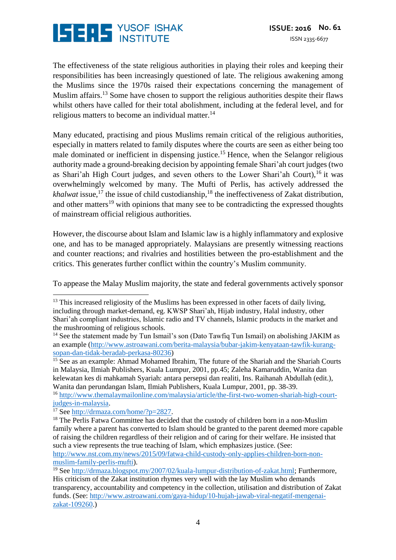

The effectiveness of the state religious authorities in playing their roles and keeping their responsibilities has been increasingly questioned of late. The religious awakening among the Muslims since the 1970s raised their expectations concerning the management of Muslim affairs.<sup>13</sup> Some have chosen to support the religious authorities despite their flaws whilst others have called for their total abolishment, including at the federal level, and for religious matters to become an individual matter.<sup>14</sup>

Many educated, practising and pious Muslims remain critical of the religious authorities, especially in matters related to family disputes where the courts are seen as either being too male dominated or inefficient in dispensing justice.<sup>15</sup> Hence, when the Selangor religious authority made a ground-breaking decision by appointing female Shari'ah court judges (two as Shari'ah High Court judges, and seven others to the Lower Shari'ah Court), <sup>16</sup> it was overwhelmingly welcomed by many. The Mufti of Perlis, has actively addressed the khalwat issue,<sup>17</sup> the issue of child custodianship,<sup>18</sup> the ineffectiveness of Zakat distribution, and other matters<sup>19</sup> with opinions that many see to be contradicting the expressed thoughts of mainstream official religious authorities.

However, the discourse about Islam and Islamic law is a highly inflammatory and explosive one, and has to be managed appropriately. Malaysians are presently witnessing reactions and counter reactions; and rivalries and hostilities between the pro-establishment and the critics. This generates further conflict within the country's Muslim community.

To appease the Malay Muslim majority, the state and federal governments actively sponsor

 $15$  See as an example: Ahmad Mohamed Ibrahim, The future of the Shariah and the Shariah Courts in Malaysia, Ilmiah Publishers, Kuala Lumpur, 2001, pp.45; Zaleha Kamaruddin, Wanita dan kelewatan kes di mahkamah Syariah: antara persepsi dan realiti, Ins. Raihanah Abdullah (edit.), Wanita dan perundangan Islam, Ilmiah Publishers, Kuala Lumpur, 2001, pp. 38-39.

<sup>16</sup> [http://www.themalaymailonline.com/malaysia/article/the-first-two-women-shariah-high-court](http://www.themalaymailonline.com/malaysia/article/the-first-two-women-shariah-high-court-judges-in-malaysia)[judges-in-malaysia.](http://www.themalaymailonline.com/malaysia/article/the-first-two-women-shariah-high-court-judges-in-malaysia)

 $\overline{a}$  $13$  This increased religiosity of the Muslims has been expressed in other facets of daily living, including through market-demand, eg. KWSP Shari'ah, Hijab industry, Halal industry, other Shari'ah compliant industries, Islamic radio and TV channels, Islamic products in the market and the mushrooming of religious schools.

<sup>&</sup>lt;sup>14</sup> See the statement made by Tun Ismail's son (Dato Tawfiq Tun Ismail) on abolishing JAKIM as an example [\(http://www.astroawani.com/berita-malaysia/bubar-jakim-kenyataan-tawfik-kurang](http://www.astroawani.com/berita-malaysia/bubar-jakim-kenyataan-tawfik-kurang-sopan-dan-tidak-beradab-perkasa-80236)[sopan-dan-tidak-beradab-perkasa-80236\)](http://www.astroawani.com/berita-malaysia/bubar-jakim-kenyataan-tawfik-kurang-sopan-dan-tidak-beradab-perkasa-80236)

<sup>&</sup>lt;sup>17</sup> See [http://drmaza.com/home/?p=2827.](http://drmaza.com/home/?p=2827)

<sup>&</sup>lt;sup>18</sup> The Perlis Fatwa Committee has decided that the custody of children born in a non-Muslim family where a parent has converted to Islam should be granted to the parent deemed more capable of raising the children regardless of their religion and of caring for their welfare. He insisted that such a view represents the true teaching of Islam, which emphasizes justice. (See:

[http://www.nst.com.my/news/2015/09/fatwa-child-custody-only-applies-children-born-non](http://www.nst.com.my/news/2015/09/fatwa-child-custody-only-applies-children-born-non-muslim-family-perlis-mufti)[muslim-family-perlis-mufti\)](http://www.nst.com.my/news/2015/09/fatwa-child-custody-only-applies-children-born-non-muslim-family-perlis-mufti).

<sup>&</sup>lt;sup>19</sup> See [http://drmaza.blogspot.my/2007/02/kuala-lumpur-distribution-of-zakat.html;](http://drmaza.blogspot.my/2007/02/kuala-lumpur-distribution-of-zakat.html) Furthermore, His criticism of the Zakat institution rhymes very well with the lay Muslim who demands transparency, accountability and competency in the collection, utilisation and distribution of Zakat funds. (See[: http://www.astroawani.com/gaya-hidup/10-hujah-jawab-viral-negatif-mengenai](http://www.astroawani.com/gaya-hidup/10-hujah-jawab-viral-negatif-mengenai-zakat-109260)[zakat-109260.](http://www.astroawani.com/gaya-hidup/10-hujah-jawab-viral-negatif-mengenai-zakat-109260))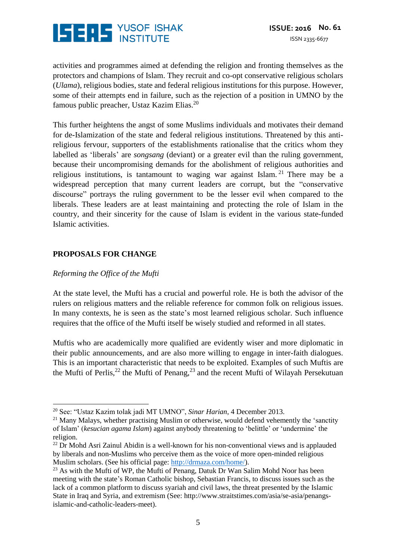

activities and programmes aimed at defending the religion and fronting themselves as the protectors and champions of Islam. They recruit and co-opt conservative religious scholars (*Ulama*), religious bodies, state and federal religious institutions for this purpose. However, some of their attempts end in failure, such as the rejection of a position in UMNO by the famous public preacher, Ustaz Kazim Elias.<sup>20</sup>

This further heightens the angst of some Muslims individuals and motivates their demand for de-Islamization of the state and federal religious institutions. Threatened by this antireligious fervour, supporters of the establishments rationalise that the critics whom they labelled as 'liberals' are *songsang* (deviant) or a greater evil than the ruling government, because their uncompromising demands for the abolishment of religious authorities and religious institutions, is tantamount to waging war against Islam.<sup>21</sup> There may be a widespread perception that many current leaders are corrupt, but the "conservative discourse" portrays the ruling government to be the lesser evil when compared to the liberals. These leaders are at least maintaining and protecting the role of Islam in the country, and their sincerity for the cause of Islam is evident in the various state-funded Islamic activities.

#### **PROPOSALS FOR CHANGE**

#### *Reforming the Office of the Mufti*

<u>.</u>

At the state level, the Mufti has a crucial and powerful role. He is both the advisor of the rulers on religious matters and the reliable reference for common folk on religious issues. In many contexts, he is seen as the state's most learned religious scholar. Such influence requires that the office of the Mufti itself be wisely studied and reformed in all states.

Muftis who are academically more qualified are evidently wiser and more diplomatic in their public announcements, and are also more willing to engage in inter-faith dialogues. This is an important characteristic that needs to be exploited. Examples of such Muftis are the Mufti of Perlis,<sup>22</sup> the Mufti of Penang,<sup>23</sup> and the recent Mufti of Wilayah Persekutuan

<sup>20</sup> See: "Ustaz Kazim tolak jadi MT UMNO", *Sinar Harian*, 4 December 2013.

<sup>&</sup>lt;sup>21</sup> Many Malays, whether practising Muslim or otherwise, would defend vehemently the 'sanctity of Islam' (*kesucian agama Islam*) against anybody threatening to 'belittle' or 'undermine' the religion.

 $^{22}$  Dr Mohd Asri Zainul Abidin is a well-known for his non-conventional views and is applauded by liberals and non-Muslims who perceive them as the voice of more open-minded religious Muslim scholars. (See his official page: [http://drmaza.com/home/\)](http://drmaza.com/home/).

 $^{23}$  As with the Mufti of WP, the Mufti of Penang, Datuk Dr Wan Salim Mohd Noor has been meeting with the state's Roman Catholic bishop, Sebastian Francis, to discuss issues such as the lack of a common platform to discuss syariah and civil laws, the threat presented by the Islamic State in Iraq and Syria, and extremism (See: http://www.straitstimes.com/asia/se-asia/penangsislamic-and-catholic-leaders-meet).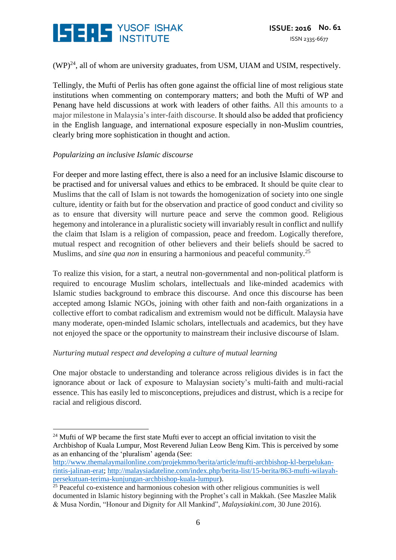

 $(WP)^{24}$ , all of whom are university graduates, from USM, UIAM and USIM, respectively.

Tellingly, the Mufti of Perlis has often gone against the official line of most religious state institutions when commenting on contemporary matters; and both the Mufti of WP and Penang have held discussions at work with leaders of other faiths. All this amounts to a major milestone in Malaysia's inter-faith discourse. It should also be added that proficiency in the English language, and international exposure especially in non-Muslim countries, clearly bring more sophistication in thought and action.

#### *Popularizing an inclusive Islamic discourse*

For deeper and more lasting effect, there is also a need for an inclusive Islamic discourse to be practised and for universal values and ethics to be embraced. It should be quite clear to Muslims that the call of Islam is not towards the homogenization of society into one single culture, identity or faith but for the observation and practice of good conduct and civility so as to ensure that diversity will nurture peace and serve the common good. Religious hegemony and intolerance in a pluralistic society will invariably result in conflict and nullify the claim that Islam is a religion of compassion, peace and freedom. Logically therefore, mutual respect and recognition of other believers and their beliefs should be sacred to Muslims, and *sine qua non* in ensuring a harmonious and peaceful community.<sup>25</sup>

To realize this vision, for a start, a neutral non-governmental and non-political platform is required to encourage Muslim scholars, intellectuals and like-minded academics with Islamic studies background to embrace this discourse. And once this discourse has been accepted among Islamic NGOs, joining with other faith and non-faith organizations in a collective effort to combat radicalism and extremism would not be difficult. Malaysia have many moderate, open-minded Islamic scholars, intellectuals and academics, but they have not enjoyed the space or the opportunity to mainstream their inclusive discourse of Islam.

#### *Nurturing mutual respect and developing a culture of mutual learning*

One major obstacle to understanding and tolerance across religious divides is in fact the ignorance about or lack of exposure to Malaysian society's multi-faith and multi-racial essence. This has easily led to misconceptions, prejudices and distrust, which is a recipe for racial and religious discord.

<sup>&</sup>lt;u>.</u>  $24$  Mufti of WP became the first state Mufti ever to accept an official invitation to visit the Archbishop of Kuala Lumpur, Most Reverend Julian Leow Beng Kim. This is perceived by some as an enhancing of the 'pluralism' agenda (See:

[http://www.themalaymailonline.com/projekmmo/berita/article/mufti-archbishop-kl-berpelukan](http://www.themalaymailonline.com/projekmmo/berita/article/mufti-archbishop-kl-berpelukan-rintis-jalinan-erat)[rintis-jalinan-erat;](http://www.themalaymailonline.com/projekmmo/berita/article/mufti-archbishop-kl-berpelukan-rintis-jalinan-erat) [http://malaysiadateline.com/index.php/berita-list/15-berita/863-mufti-wilayah](http://malaysiadateline.com/index.php/berita-list/15-berita/863-mufti-wilayah-persekutuan-terima-kunjungan-archbishop-kuala-lumpur)[persekutuan-terima-kunjungan-archbishop-kuala-lumpur\)](http://malaysiadateline.com/index.php/berita-list/15-berita/863-mufti-wilayah-persekutuan-terima-kunjungan-archbishop-kuala-lumpur).

 $25$  Peaceful co-existence and harmonious cohesion with other religious communities is well documented in Islamic history beginning with the Prophet's call in Makkah. (See Maszlee Malik & Musa Nordin, "Honour and Dignity for All Mankind", *Malaysiakini.com*, 30 June 2016).